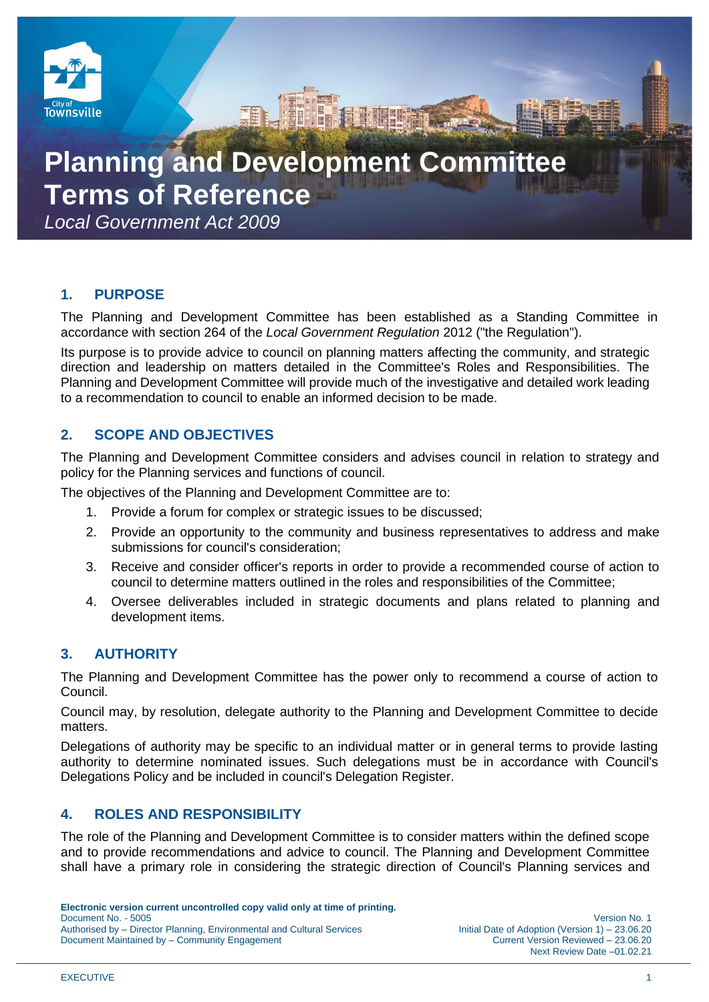

# **Planning and Development Committee Terms of Reference**

*Local Government Act 2009*

# **1. PURPOSE**

The Planning and Development Committee has been established as a Standing Committee in accordance with section 264 of the *Local Government Regulation* 2012 ("the Regulation").

Its purpose is to provide advice to council on planning matters affecting the community, and strategic direction and leadership on matters detailed in the Committee's Roles and Responsibilities. The Planning and Development Committee will provide much of the investigative and detailed work leading to a recommendation to council to enable an informed decision to be made.

# **2. SCOPE AND OBJECTIVES**

The Planning and Development Committee considers and advises council in relation to strategy and policy for the Planning services and functions of council.

The objectives of the Planning and Development Committee are to:

- 1. Provide a forum for complex or strategic issues to be discussed;
- 2. Provide an opportunity to the community and business representatives to address and make submissions for council's consideration;
- 3. Receive and consider officer's reports in order to provide a recommended course of action to council to determine matters outlined in the roles and responsibilities of the Committee;
- 4. Oversee deliverables included in strategic documents and plans related to planning and development items.

# **3. AUTHORITY**

The Planning and Development Committee has the power only to recommend a course of action to Council.

Council may, by resolution, delegate authority to the Planning and Development Committee to decide matters.

Delegations of authority may be specific to an individual matter or in general terms to provide lasting authority to determine nominated issues. Such delegations must be in accordance with Council's Delegations Policy and be included in council's Delegation Register.

# **4. ROLES AND RESPONSIBILITY**

The role of the Planning and Development Committee is to consider matters within the defined scope and to provide recommendations and advice to council. The Planning and Development Committee shall have a primary role in considering the strategic direction of Council's Planning services and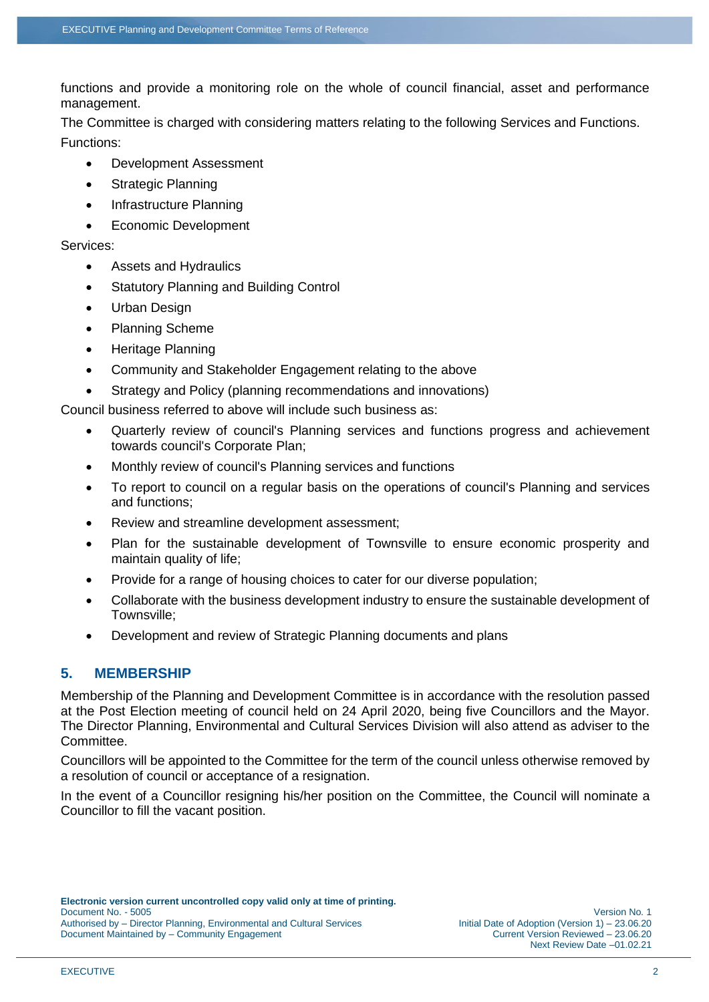functions and provide a monitoring role on the whole of council financial, asset and performance management.

The Committee is charged with considering matters relating to the following Services and Functions. Functions:

- Development Assessment
- Strategic Planning
- Infrastructure Planning
- Economic Development

Services:

- Assets and Hydraulics
- Statutory Planning and Building Control
- Urban Design
- Planning Scheme
- Heritage Planning
- Community and Stakeholder Engagement relating to the above
- Strategy and Policy (planning recommendations and innovations)

Council business referred to above will include such business as:

- Quarterly review of council's Planning services and functions progress and achievement towards council's Corporate Plan;
- Monthly review of council's Planning services and functions
- To report to council on a regular basis on the operations of council's Planning and services and functions;
- Review and streamline development assessment;
- Plan for the sustainable development of Townsville to ensure economic prosperity and maintain quality of life;
- Provide for a range of housing choices to cater for our diverse population;
- Collaborate with the business development industry to ensure the sustainable development of Townsville;
- Development and review of Strategic Planning documents and plans

# **5. MEMBERSHIP**

Membership of the Planning and Development Committee is in accordance with the resolution passed at the Post Election meeting of council held on 24 April 2020, being five Councillors and the Mayor. The Director Planning, Environmental and Cultural Services Division will also attend as adviser to the Committee.

Councillors will be appointed to the Committee for the term of the council unless otherwise removed by a resolution of council or acceptance of a resignation.

In the event of a Councillor resigning his/her position on the Committee, the Council will nominate a Councillor to fill the vacant position.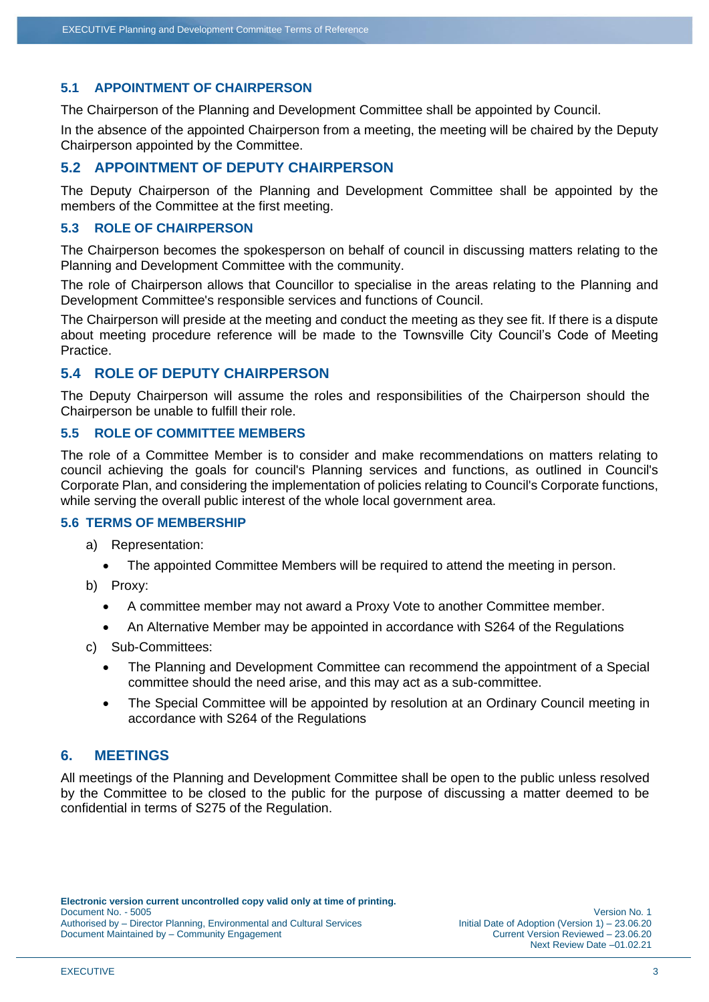## **5.1 APPOINTMENT OF CHAIRPERSON**

The Chairperson of the Planning and Development Committee shall be appointed by Council.

In the absence of the appointed Chairperson from a meeting, the meeting will be chaired by the Deputy Chairperson appointed by the Committee.

## **5.2 APPOINTMENT OF DEPUTY CHAIRPERSON**

The Deputy Chairperson of the Planning and Development Committee shall be appointed by the members of the Committee at the first meeting.

## **5.3 ROLE OF CHAIRPERSON**

The Chairperson becomes the spokesperson on behalf of council in discussing matters relating to the Planning and Development Committee with the community.

The role of Chairperson allows that Councillor to specialise in the areas relating to the Planning and Development Committee's responsible services and functions of Council.

The Chairperson will preside at the meeting and conduct the meeting as they see fit. If there is a dispute about meeting procedure reference will be made to the Townsville City Council's Code of Meeting Practice.

## **5.4 ROLE OF DEPUTY CHAIRPERSON**

The Deputy Chairperson will assume the roles and responsibilities of the Chairperson should the Chairperson be unable to fulfill their role.

#### **5.5 ROLE OF COMMITTEE MEMBERS**

The role of a Committee Member is to consider and make recommendations on matters relating to council achieving the goals for council's Planning services and functions, as outlined in Council's Corporate Plan, and considering the implementation of policies relating to Council's Corporate functions, while serving the overall public interest of the whole local government area.

#### **5.6 TERMS OF MEMBERSHIP**

- a) Representation:
	- The appointed Committee Members will be required to attend the meeting in person.
- b) Proxy:
	- A committee member may not award a Proxy Vote to another Committee member.
	- An Alternative Member may be appointed in accordance with S264 of the Regulations
- c) Sub-Committees:
	- The Planning and Development Committee can recommend the appointment of a Special committee should the need arise, and this may act as a sub-committee.
	- The Special Committee will be appointed by resolution at an Ordinary Council meeting in accordance with S264 of the Regulations

## **6. MEETINGS**

All meetings of the Planning and Development Committee shall be open to the public unless resolved by the Committee to be closed to the public for the purpose of discussing a matter deemed to be confidential in terms of S275 of the Regulation.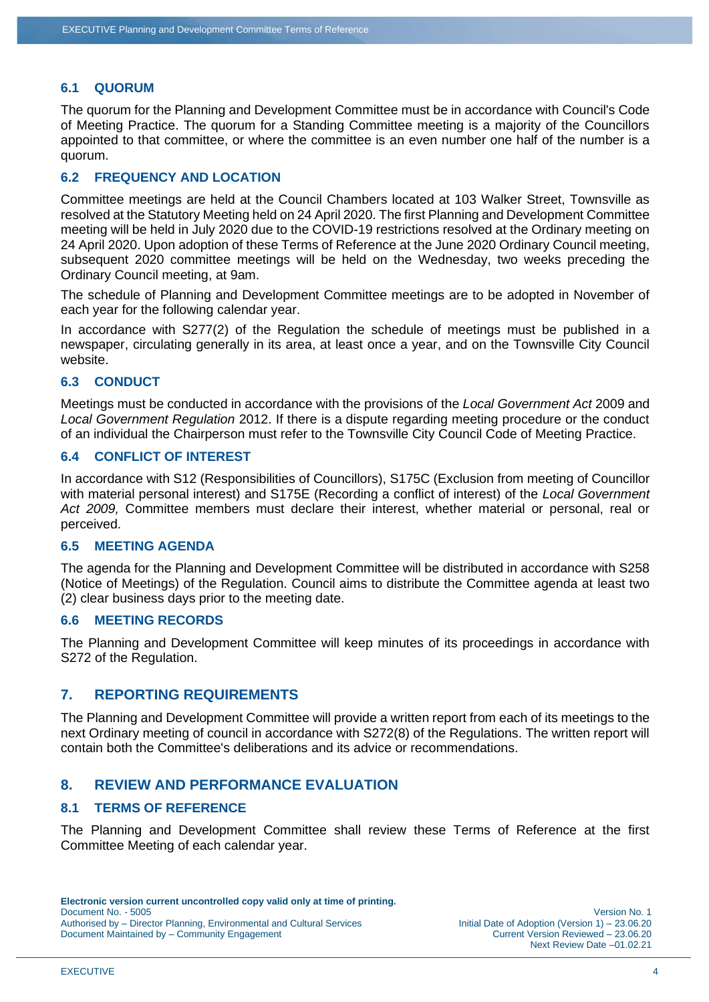#### **6.1 QUORUM**

The quorum for the Planning and Development Committee must be in accordance with Council's Code of Meeting Practice. The quorum for a Standing Committee meeting is a majority of the Councillors appointed to that committee, or where the committee is an even number one half of the number is a quorum.

## **6.2 FREQUENCY AND LOCATION**

Committee meetings are held at the Council Chambers located at 103 Walker Street, Townsville as resolved at the Statutory Meeting held on 24 April 2020. The first Planning and Development Committee meeting will be held in July 2020 due to the COVID-19 restrictions resolved at the Ordinary meeting on 24 April 2020. Upon adoption of these Terms of Reference at the June 2020 Ordinary Council meeting, subsequent 2020 committee meetings will be held on the Wednesday, two weeks preceding the Ordinary Council meeting, at 9am.

The schedule of Planning and Development Committee meetings are to be adopted in November of each year for the following calendar year.

In accordance with S277(2) of the Regulation the schedule of meetings must be published in a newspaper, circulating generally in its area, at least once a year, and on the Townsville City Council website.

#### **6.3 CONDUCT**

Meetings must be conducted in accordance with the provisions of the *Local Government Act* 2009 and *Local Government Regulation* 2012. If there is a dispute regarding meeting procedure or the conduct of an individual the Chairperson must refer to the Townsville City Council Code of Meeting Practice.

#### **6.4 CONFLICT OF INTEREST**

In accordance with S12 (Responsibilities of Councillors), S175C (Exclusion from meeting of Councillor with material personal interest) and S175E (Recording a conflict of interest) of the *Local Government Act 2009,* Committee members must declare their interest, whether material or personal, real or perceived.

#### **6.5 MEETING AGENDA**

The agenda for the Planning and Development Committee will be distributed in accordance with S258 (Notice of Meetings) of the Regulation. Council aims to distribute the Committee agenda at least two (2) clear business days prior to the meeting date.

#### **6.6 MEETING RECORDS**

The Planning and Development Committee will keep minutes of its proceedings in accordance with S<sub>272</sub> of the Regulation.

## **7. REPORTING REQUIREMENTS**

The Planning and Development Committee will provide a written report from each of its meetings to the next Ordinary meeting of council in accordance with S272(8) of the Regulations. The written report will contain both the Committee's deliberations and its advice or recommendations.

## **8. REVIEW AND PERFORMANCE EVALUATION**

#### **8.1 TERMS OF REFERENCE**

The Planning and Development Committee shall review these Terms of Reference at the first Committee Meeting of each calendar year.